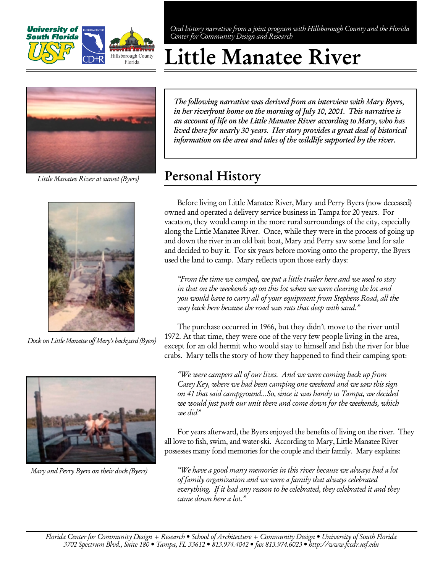

Oral history narrative from a joint program with Hillsborough County and the Florida Center for Community Design and Research

# Little Manatee River



Little Manatee River at sunset (Byers)



Dock on Little Manatee off Mary's backyard (Byers)



Mary and Perry Byers on their dock (Byers)

The following narrative was derived from an interview with Mary Byers, in her riverfront home on the morning of July 10, 2001. This narrative is an account of life on the Little Manatee River according to Mary, who has lived there for nearly 30 years. Her story provides a great deal of historical information on the area and tales of the wildlife supported by the river.

## Personal History

Before living on Little Manatee River, Mary and Perry Byers (now deceased) owned and operated a delivery service business in Tampa for 20 years. For vacation, they would camp in the more rural surroundings of the city, especially along the Little Manatee River. Once, while they were in the process of going up and down the river in an old bait boat, Mary and Perry saw some land for sale and decided to buy it. For six years before moving onto the property, the Byers used the land to camp. Mary reflects upon those early days:

"From the time we camped, we put a little trailer here and we used to stay in that on the weekends up on this lot when we were clearing the lot and you would have to carry all of your equipment from Stephens Road, all the way back here because the road was ruts that deep with sand."

The purchase occurred in 1966, but they didn't move to the river until 1972. At that time, they were one of the very few people living in the area, except for an old hermit who would stay to himself and fish the river for blue crabs. Mary tells the story of how they happened to find their camping spot:

"We were campers all of our lives. And we were coming back up from Casey Key, where we had been camping one weekend and we saw this sign on 41 that said campground…So, since it was handy to Tampa, we decided we would just park our unit there and come down for the weekends, which we did"

For years afterward, the Byers enjoyed the benefits of living on the river. They all love to fish, swim, and water-ski. According to Mary, Little Manatee River possesses many fond memories for the couple and their family. Mary explains:

"We have a good many memories in this river because we always had a lot of family organization and we were a family that always celebrated everything. If it had any reason to be celebrated, they celebrated it and they came down here a lot."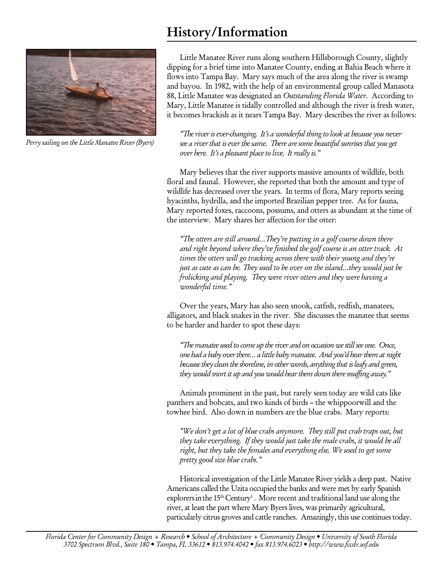# History/Information



Perry sailing on the Little Manatee River (Byers)

Little Manatee River runs along southern Hillsborough County, slightly dipping for a brief time into Manatee County, ending at Bahia Beach where it flows into Tampa Bay. Mary says much of the area along the river is swamp and bayou. In 1982, with the help of an environmental group called Manasota 88, Little Manatee was designated an Outstanding Florida Water. According to Mary, Little Manatee is tidally controlled and although the river is fresh water, it becomes brackish as it nears Tampa Bay. Mary describes the river as follows:

"The river is ever-changing. It's a wonderful thing to look at because you never see a river that is ever the same. There are some beautiful sunrises that you get over here. It's a pleasant place to live. It really is."

Mary believes that the river supports massive amounts of wildlife, both floral and faunal. However, she reported that both the amount and type of wildlife has decreased over the years. In terms of flora, Mary reports seeing hyacinths, hydrilla, and the imported Brazilian pepper tree. As for fauna, Mary reported foxes, raccoons, possums, and otters as abundant at the time of the interview. Mary shares her affection for the otter:

"The otters are still around…They're putting in a golf course down there and right beyond where they've finished the golf course is an otter track. At times the otters will go tracking across there with their young and they're just as cute as can be. They used to be over on the island…they would just be frolicking and playing. They were river otters and they were having a wonderful time."

Over the years, Mary has also seen snook, catfish, redfish, manatees, alligators, and black snakes in the river. She discusses the manatee that seems to be harder and harder to spot these days:

"The manatee used to come up the river and on occasion we still see one. Once, one had a baby over there… a little baby manatee. And you'd hear them at night because they clean the shoreline, in other words, anything that is leafy and green, they would snort it up and you would hear them down there snuffing away."

Animals prominent in the past, but rarely seen today are wild cats like panthers and bobcats, and two kinds of birds – the whippoorwill and the towhee bird. Also down in numbers are the blue crabs. Mary reports:

"We don't get a lot of blue crabs anymore. They still put crab traps out, but they take everything. If they would just take the male crabs, it would be all right, but they take the females and everything else. We used to get some pretty good size blue crabs."

Historical investigation of the Little Manatee River yields a deep past. Native Americans called the Uzita occupied the banks and were met by early Spanish explorers in the  $15<sup>th</sup>$  Century<sup>1</sup>. More recent and traditional land use along the river, at least the part where Mary Byers lives, was primarily agricultural, particularly citrus groves and cattle ranches. Amazingly, this use continues today.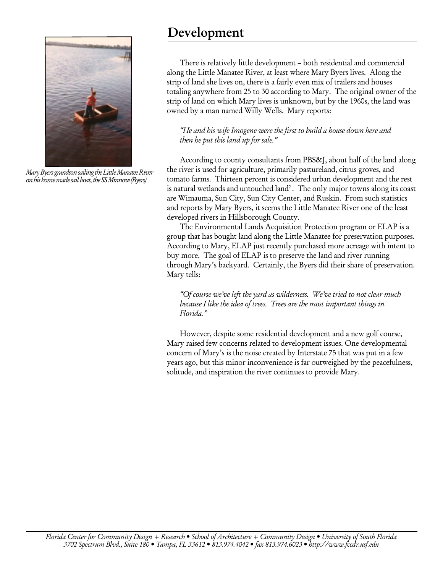

Mary Byers grandson sailing the Little Manatee River on his home made sail boat, the SS Minnow (Byers)

#### Development

There is relatively little development – both residential and commercial along the Little Manatee River, at least where Mary Byers lives. Along the strip of land she lives on, there is a fairly even mix of trailers and houses totaling anywhere from 25 to 30 according to Mary. The original owner of the strip of land on which Mary lives is unknown, but by the 1960s, the land was owned by a man named Willy Wells. Mary reports:

"He and his wife Imogene were the first to build a house down here and then he put this land up for sale."

According to county consultants from PBS&J, about half of the land along the river is used for agriculture, primarily pastureland, citrus groves, and tomato farms. Thirteen percent is considered urban development and the rest is natural wetlands and untouched land<sup>2</sup>. The only major towns along its coast are Wimauma, Sun City, Sun City Center, and Ruskin. From such statistics and reports by Mary Byers, it seems the Little Manatee River one of the least developed rivers in Hillsborough County.

The Environmental Lands Acquisition Protection program or ELAP is a group that has bought land along the Little Manatee for preservation purposes. According to Mary, ELAP just recently purchased more acreage with intent to buy more. The goal of ELAP is to preserve the land and river running through Mary's backyard. Certainly, the Byers did their share of preservation. Mary tells:

"Of course we've left the yard as wilderness. We've tried to not clear much because I like the idea of trees. Trees are the most important things in Florida."

However, despite some residential development and a new golf course, Mary raised few concerns related to development issues. One developmental concern of Mary's is the noise created by Interstate 75 that was put in a few years ago, but this minor inconvenience is far outweighed by the peacefulness, solitude, and inspiration the river continues to provide Mary.